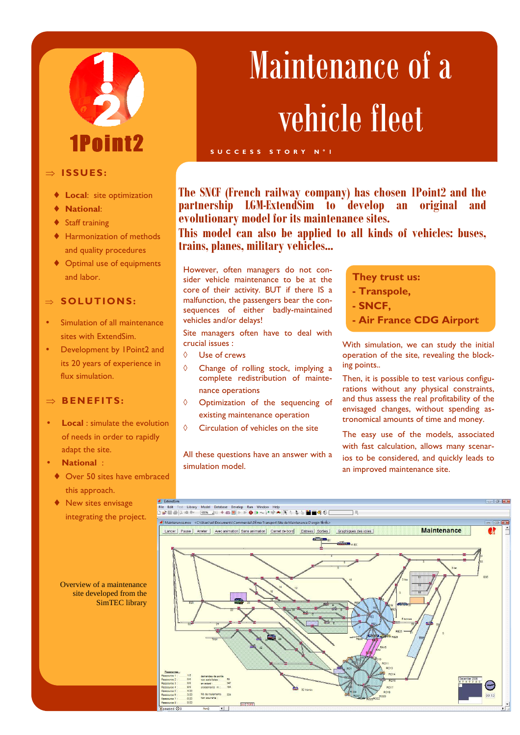# 1Pnint?

### ⇒ **ISSUES :**

- **Local:** site optimization
- **National:**
- **Staff training**
- **Harmonization of methods** and quality procedures
- ♦ Optimal use of equipments and labor.

## ⇒ **SOLUTIONS:**

- Simulation of all maintenance sites with ExtendSim.
- Development by 1Point2 and its 20 years of experience in flux simulation.

### ⇒ **B EN EFITS:**

- **Local**: simulate the evolution of needs in order to rapidly adapt the site.
- **National** :
	- ♦ Over 50 sites have embraced this approach.
	- ♦ New sites envisage integrating the project.

## Maintenance of a vehicle fleet

**The SNCF (French railway company) has chosen 1Point2 and the partnership LGM-ExtendSim to develop an original and evolutionary model for its maintenance sites.** 

**This model can also be applied to all kinds of vehicles: buses, trains, planes, military vehicles...** 

However, often managers do not consider vehicle maintenance to be at the core of their activity. BUT if there IS a malfunction, the passengers bear the consequences of either badly-maintained vehicles and/or delays!

**S U C C E S S S T O R Y N ° 1** 

Site managers often have to deal with crucial issues :

- ◊ Use of crews
- ◊ Change of rolling stock, implying a complete redistribution of maintenance operations
- ◊ Optimization of the sequencing of existing maintenance operation
- ◊ Circulation of vehicles on the site

All these questions have an answer with a simulation model.

### **They trust us:**

- **Transpole,**
- **SNCF,**
- **Air France CDG Airport**

With simulation, we can study the initial operation of the site, revealing the blocking points..

Then, it is possible to test various configurations without any physical constraints, and thus assess the real profitability of the envisaged changes, without spending astronomical amounts of time and money.

The easy use of the models, associated with fast calculation, allows many scenarios to be considered, and quickly leads to an improved maintenance site.



Overview of a maintenance site developed from the SimTEC library